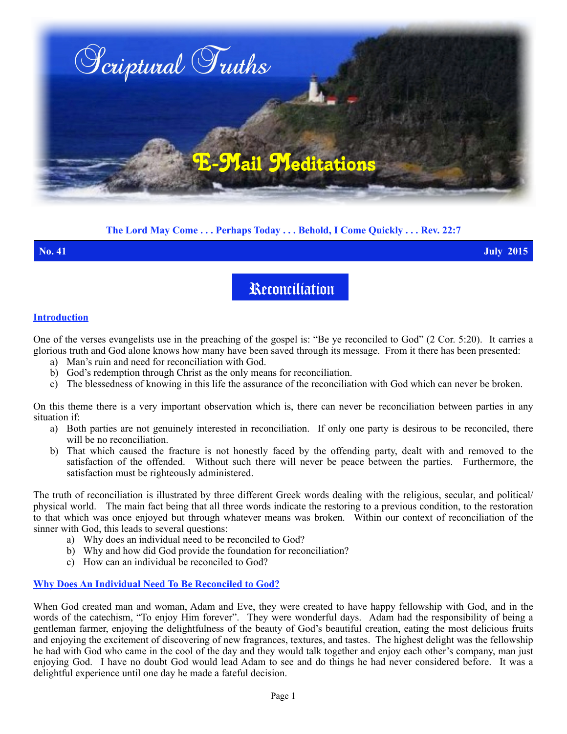

## **The Lord May Come . . . Perhaps Today . . . Behold, I Come Quickly . . . Rev. 22:7**

**No. 41 July 2015**

# Reconciliation

#### **Introduction**

One of the verses evangelists use in the preaching of the gospel is: "Be ye reconciled to God" (2 Cor. 5:20). It carries a glorious truth and God alone knows how many have been saved through its message. From it there has been presented:

- a) Man's ruin and need for reconciliation with God.
- b) God's redemption through Christ as the only means for reconciliation.
- c) The blessedness of knowing in this life the assurance of the reconciliation with God which can never be broken.

On this theme there is a very important observation which is, there can never be reconciliation between parties in any situation if:

- a) Both parties are not genuinely interested in reconciliation. If only one party is desirous to be reconciled, there will be no reconciliation.
- b) That which caused the fracture is not honestly faced by the offending party, dealt with and removed to the satisfaction of the offended. Without such there will never be peace between the parties. Furthermore, the satisfaction must be righteously administered.

The truth of reconciliation is illustrated by three different Greek words dealing with the religious, secular, and political/ physical world. The main fact being that all three words indicate the restoring to a previous condition, to the restoration to that which was once enjoyed but through whatever means was broken. Within our context of reconciliation of the sinner with God, this leads to several questions:

- a) Why does an individual need to be reconciled to God?
- b) Why and how did God provide the foundation for reconciliation?
- c) How can an individual be reconciled to God?

### **Why Does An Individual Need To Be Reconciled to God?**

When God created man and woman, Adam and Eve, they were created to have happy fellowship with God, and in the words of the catechism, "To enjoy Him forever". They were wonderful days. Adam had the responsibility of being a gentleman farmer, enjoying the delightfulness of the beauty of God's beautiful creation, eating the most delicious fruits and enjoying the excitement of discovering of new fragrances, textures, and tastes. The highest delight was the fellowship he had with God who came in the cool of the day and they would talk together and enjoy each other's company, man just enjoying God. I have no doubt God would lead Adam to see and do things he had never considered before. It was a delightful experience until one day he made a fateful decision.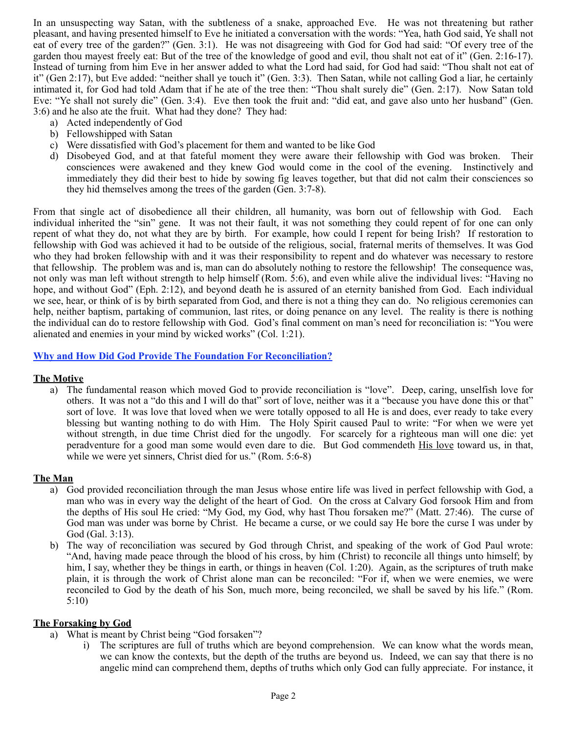In an unsuspecting way Satan, with the subtleness of a snake, approached Eve. He was not threatening but rather pleasant, and having presented himself to Eve he initiated a conversation with the words: "Yea, hath God said, Ye shall not eat of every tree of the garden?" (Gen. 3:1). He was not disagreeing with God for God had said: "Of every tree of the garden thou mayest freely eat: But of the tree of the knowledge of good and evil, thou shalt not eat of it" (Gen. 2:16-17). Instead of turning from him Eve in her answer added to what the Lord had said, for God had said: "Thou shalt not eat of it" (Gen 2:17), but Eve added: "neither shall ye touch it" (Gen. 3:3). Then Satan, while not calling God a liar, he certainly intimated it, for God had told Adam that if he ate of the tree then: "Thou shalt surely die" (Gen. 2:17). Now Satan told Eve: "Ye shall not surely die" (Gen. 3:4). Eve then took the fruit and: "did eat, and gave also unto her husband" (Gen. 3:6) and he also ate the fruit. What had they done? They had:

- a) Acted independently of God
- b) Fellowshipped with Satan
- c) Were dissatisfied with God's placement for them and wanted to be like God
- d) Disobeyed God, and at that fateful moment they were aware their fellowship with God was broken. Their consciences were awakened and they knew God would come in the cool of the evening. Instinctively and immediately they did their best to hide by sowing fig leaves together, but that did not calm their consciences so they hid themselves among the trees of the garden (Gen. 3:7-8).

From that single act of disobedience all their children, all humanity, was born out of fellowship with God. Each individual inherited the "sin" gene. It was not their fault, it was not something they could repent of for one can only repent of what they do, not what they are by birth. For example, how could I repent for being Irish? If restoration to fellowship with God was achieved it had to be outside of the religious, social, fraternal merits of themselves. It was God who they had broken fellowship with and it was their responsibility to repent and do whatever was necessary to restore that fellowship. The problem was and is, man can do absolutely nothing to restore the fellowship! The consequence was, not only was man left without strength to help himself (Rom. 5:6), and even while alive the individual lives: "Having no hope, and without God" (Eph. 2:12), and beyond death he is assured of an eternity banished from God. Each individual we see, hear, or think of is by birth separated from God, and there is not a thing they can do. No religious ceremonies can help, neither baptism, partaking of communion, last rites, or doing penance on any level. The reality is there is nothing the individual can do to restore fellowship with God. God's final comment on man's need for reconciliation is: "You were alienated and enemies in your mind by wicked works" (Col. 1:21).

### **Why and How Did God Provide The Foundation For Reconciliation?**

### **The Motive**

a) The fundamental reason which moved God to provide reconciliation is "love". Deep, caring, unselfish love for others. It was not a "do this and I will do that" sort of love, neither was it a "because you have done this or that" sort of love. It was love that loved when we were totally opposed to all He is and does, ever ready to take every blessing but wanting nothing to do with Him. The Holy Spirit caused Paul to write: "For when we were yet without strength, in due time Christ died for the ungodly. For scarcely for a righteous man will one die: yet peradventure for a good man some would even dare to die. But God commendeth His love toward us, in that, while we were yet sinners, Christ died for us." (Rom. 5:6-8)

### **The Man**

- a) God provided reconciliation through the man Jesus whose entire life was lived in perfect fellowship with God, a man who was in every way the delight of the heart of God. On the cross at Calvary God forsook Him and from the depths of His soul He cried: "My God, my God, why hast Thou forsaken me?" (Matt. 27:46). The curse of God man was under was borne by Christ. He became a curse, or we could say He bore the curse I was under by God (Gal. 3:13).
- b) The way of reconciliation was secured by God through Christ, and speaking of the work of God Paul wrote: "And, having made peace through the blood of his cross, by him (Christ) to reconcile all things unto himself; by him, I say, whether they be things in earth, or things in heaven (Col. 1:20). Again, as the scriptures of truth make plain, it is through the work of Christ alone man can be reconciled: "For if, when we were enemies, we were reconciled to God by the death of his Son, much more, being reconciled, we shall be saved by his life." (Rom. 5:10)

#### **The Forsaking by God**

- a) What is meant by Christ being "God forsaken"?
	- i) The scriptures are full of truths which are beyond comprehension. We can know what the words mean, we can know the contexts, but the depth of the truths are beyond us. Indeed, we can say that there is no angelic mind can comprehend them, depths of truths which only God can fully appreciate. For instance, it